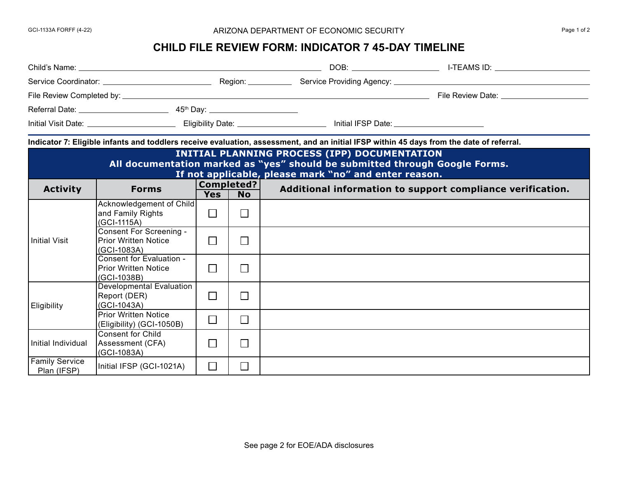## GCI-1133A FORFF (4-22) 
Bage 1 of 2

## **CHILD FILE REVIEW FORM: INDICATOR 7 45-DAY TIMELINE**

| Indicator 7: Eligible infants and toddlers receive evaluation, assessment, and an initial IFSP within 45 days from the date of referral.                                             |                                                                        |            |                             |  |                                                            |  |  |
|--------------------------------------------------------------------------------------------------------------------------------------------------------------------------------------|------------------------------------------------------------------------|------------|-----------------------------|--|------------------------------------------------------------|--|--|
| INITIAL PLANNING PROCESS (IPP) DOCUMENTATION<br>All documentation marked as "yes" should be submitted through Google Forms.<br>If not applicable, please mark "no" and enter reason. |                                                                        |            |                             |  |                                                            |  |  |
| <b>Activity</b>                                                                                                                                                                      | <b>Forms</b>                                                           | <b>Yes</b> | Completed?<br><b>No</b>     |  | Additional information to support compliance verification. |  |  |
| <b>Initial Visit</b>                                                                                                                                                                 | Acknowledgement of Child<br>and Family Rights<br>(GCI-1115A)           | $\Box$     | $\Box$                      |  |                                                            |  |  |
|                                                                                                                                                                                      | <b>Consent For Screening -</b><br>Prior Written Notice<br>(GCI-1083A)  | $\Box$     | $\vert \ \ \vert$           |  |                                                            |  |  |
|                                                                                                                                                                                      | Consent for Evaluation -<br><b>Prior Written Notice</b><br>(GCI-1038B) | $\Box$     | $\vert \ \ \vert$           |  |                                                            |  |  |
| <b>Eligibility</b>                                                                                                                                                                   | <b>Developmental Evaluation</b><br>Report (DER)<br>(GCI-1043A)         | $\Box$     | $\mathcal{L}_{\mathcal{A}}$ |  |                                                            |  |  |
|                                                                                                                                                                                      | <b>Prior Written Notice</b><br>(Eligibility) (GCI-1050B)               | $\Box$     | $\Box$                      |  |                                                            |  |  |
| Initial Individual                                                                                                                                                                   | <b>Consent for Child</b><br>Assessment (CFA)<br>(GCI-1083A)            | $\perp$    |                             |  |                                                            |  |  |
| <b>Family Service</b><br>Plan (IFSP)                                                                                                                                                 | Initial IFSP (GCI-1021A)                                               | $\Box$     | $\vert \ \vert$             |  |                                                            |  |  |